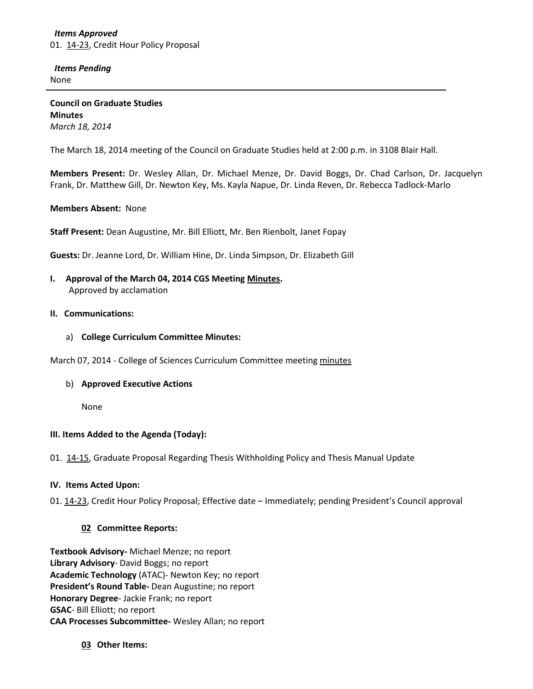## *Items Approved* 01. [14-23,](http://castle.eiu.edu/~eiucgs/currentagendaitems/agenda14-23.pdf) Credit Hour Policy Proposal

 *Items Pending* None

**Council on Graduate Studies Minutes** *March 18, 2014*

The March 18, 2014 meeting of the Council on Graduate Studies held at 2:00 p.m. in 3108 Blair Hall.

**Members Present:** Dr. Wesley Allan, Dr. Michael Menze, Dr. David Boggs, Dr. Chad Carlson, Dr. Jacquelyn Frank, Dr. Matthew Gill, Dr. Newton Key, Ms. Kayla Napue, Dr. Linda Reven, Dr. Rebecca Tadlock-Marlo

## **Members Absent:** None

**Staff Present:** Dean Augustine, Mr. Bill Elliott, Mr. Ben Rienbolt, Janet Fopay

**Guests:** Dr. Jeanne Lord, Dr. William Hine, Dr. Linda Simpson, Dr. Elizabeth Gill

## **I. Approval of the March 04, 2014 CGS Meeting [Minutes.](http://castle.eiu.edu/eiucgs/currentminutes/Minutes03-04-14.pdf)** Approved by acclamation

### **II. Communications:**

a) **College Curriculum Committee Minutes:**

March 07, 2014 - College of Sciences Curriculum Committee meeting [minutes](http://castle.eiu.edu/~eiucgs/currentagendaitems/COSMin03-07-14.pdf)

#### b) **Approved Executive Actions**

None

#### **III. Items Added to the Agenda (Today):**

01. [14-15,](http://castle.eiu.edu/~eiucgs/currentagendaitems/agenda14-15.pdf) Graduate Proposal Regarding Thesis Withholding Policy and Thesis Manual Update

#### **IV. Items Acted Upon:**

01. [14-23,](http://castle.eiu.edu/~eiucgs/currentagendaitems/agenda14-23.pdf) Credit Hour Policy Proposal; Effective date – Immediately; pending President's Council approval

## **02 Committee Reports:**

**Textbook Advisory-** Michael Menze; no report **Library Advisory**- David Boggs; no report **Academic Technology** (ATAC)- Newton Key; no report **President's Round Table-** Dean Augustine; no report **Honorary Degree**- Jackie Frank; no report **GSAC**- Bill Elliott; no report **CAA Processes Subcommittee-** Wesley Allan; no report

**03 Other Items:**